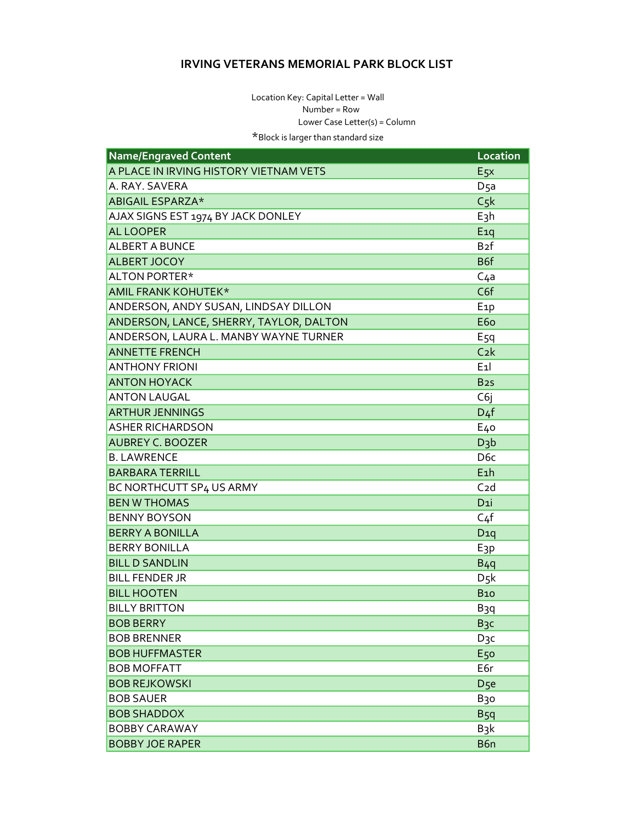## **IRVING VETERANS MEMORIAL PARK BLOCK LIST**

Location Key: Capital Letter = Wall Number = Row Lower Case Letter(s) = Column \*Block is larger than standard size

Name/Engraved Content **Location** A PLACE IN IRVING HISTORY VIETNAM VETS  $E_{5}x$ A. RAY. SAVERA  $D<sub>5a</sub>$ ABIGAIL ESPARZA\*  $C5k$  $E_3h$ AJAX SIGNS EST 1974 BY JACK DONLEY **AL LOOPER**  $E_1$ g **ALBERT A BUNCE** B<sub>2</sub>f B6f ALBERT JOCOY ALTON PORTER\*  $C<sub>4a</sub>$ AMIL FRANK KOHUTEK\* C6f ANDERSON, ANDY SUSAN, LINDSAY DILLON E<sub>1</sub>p ANDERSON, LANCE, SHERRY, TAYLOR, DALTON E<sub>60</sub> ANDERSON, LAURA L. MANBY WAYNE TURNER E<sub>5</sub>q **ANNETTE FRENCH**  $C<sub>2</sub>k$ **ANTHONY FRIONI**  $E_1$ **ANTON HOYACK** B<sub>25</sub> **ANTON LAUGAL** C<sub>6</sub> **ARTHUR JENNINGS**  $D<sub>4</sub>f$ **ASHER RICHARDSON** E<sub>40</sub> **AUBREY C. BOOZER**  $D_3b$ D<sub>6</sub>c **B. LAWRENCE BARBARA TERRILL**  $E_1$ h  $C<sub>2d</sub>$ BC NORTHCUTT SP4 US ARMY **BEN W THOMAS** D<sub>1</sub>i **BENNY BOYSON**  $C<sub>4</sub>f$ **BERRY A BONILLA**  $D_{10}$ **BERRY BONILLA** E<sub>3</sub>p **BILL D SANDLIN**  $B_4q$ **BILL FENDER JR**  $D$   $5k$ **BILL HOOTEN B10 BILLY BRITTON** B<sub>3</sub>q **BOB BERRY** B<sub>3</sub>c **BOB BRENNER** D<sub>3</sub>c **BOB HUFFMASTER E50 BOB MOFFATT** E6r **BOB REJKOWSKI** D<sub>5e</sub> **BOB SAUER** B<sub>30</sub> **BOB SHADDOX**  $B5q$ **BOBBY CARAWAY B**<sub>3</sub>k **BOBBY JOE RAPER** B<sub>6n</sub>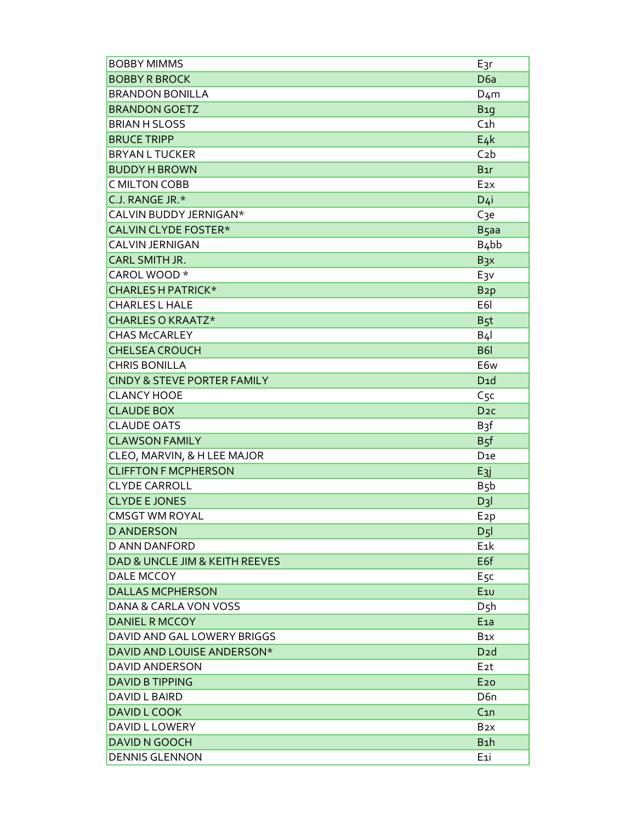| <b>BOBBY MIMMS</b>                     | $E_3r$            |
|----------------------------------------|-------------------|
| <b>BOBBY R BROCK</b>                   | D <sub>6a</sub>   |
| <b>BRANDON BONILLA</b>                 | $D_4m$            |
| <b>BRANDON GOETZ</b>                   | <b>B</b> 19       |
| <b>BRIAN H SLOSS</b>                   | $C_1h$            |
| <b>BRUCE TRIPP</b>                     | $E_4k$            |
| <b>BRYAN L TUCKER</b>                  | C <sub>2</sub> b  |
| <b>BUDDY H BROWN</b>                   | $B_{1}r$          |
| C MILTON COBB                          | E <sub>2X</sub>   |
| C.J. RANGE JR.*                        | D <sub>4</sub> i  |
| CALVIN BUDDY JERNIGAN*                 | C <sub>3</sub> e  |
| CALVIN CLYDE FOSTER*                   | B <sub>5</sub> aa |
| CALVIN JERNIGAN                        | $B4$ bb           |
| CARL SMITH JR.                         | B <sub>3</sub> x  |
| CAROL WOOD *                           | E <sub>3</sub> v  |
| <b>CHARLES H PATRICK*</b>              | B <sub>2</sub> p  |
| <b>CHARLES L HALE</b>                  | E <sub>6</sub> I  |
| CHARLES O KRAATZ*                      | B <sub>5</sub> t  |
| <b>CHAS McCARLEY</b>                   | $B_4$             |
| <b>CHELSEA CROUCH</b>                  | <b>B61</b>        |
| <b>CHRIS BONILLA</b>                   | E6w               |
| <b>CINDY &amp; STEVE PORTER FAMILY</b> | D1d               |
| <b>CLANCY HOOE</b>                     | C5c               |
| <b>CLAUDE BOX</b>                      | D <sub>2C</sub>   |
| <b>CLAUDE OATS</b>                     | B <sub>3</sub> f  |
| <b>CLAWSON FAMILY</b>                  | B <sub>5</sub> f  |
| CLEO, MARVIN, & H LEE MAJOR            | D <sub>1e</sub>   |
| <b>CLIFFTON F MCPHERSON</b>            | E <sub>3</sub> j  |
| <b>CLYDE CARROLL</b>                   | B <sub>5</sub> b  |
| <b>CLYDE E JONES</b>                   | $D_3$             |
| <b>CMSGT WM ROYAL</b>                  | E <sub>2</sub> p  |
| <b>D ANDERSON</b>                      | D <sub>5</sub>    |
| <b>D ANN DANFORD</b>                   | E <sub>1</sub> k  |
| DAD & UNCLE JIM & KEITH REEVES         | E <sub>6f</sub>   |
| DALE MCCOY                             | E <sub>5</sub> c  |
| <b>DALLAS MCPHERSON</b>                | $E_{1U}$          |
| DANA & CARLA VON VOSS                  | D5h               |
| <b>DANIEL R MCCOY</b>                  | E1a               |
| DAVID AND GAL LOWERY BRIGGS            | B <sub>1X</sub>   |
| DAVID AND LOUISE ANDERSON*             | D <sub>2</sub> d  |
| <b>DAVID ANDERSON</b>                  | E <sub>2</sub> t  |
| <b>DAVID B TIPPING</b>                 | E <sub>20</sub>   |
| DAVID L BAIRD                          | D6n               |
| <b>DAVID L COOK</b>                    | C <sub>1n</sub>   |
| DAVID L LOWERY                         | B <sub>2</sub> x  |
| <b>DAVID N GOOCH</b>                   | B <sub>1</sub> h  |
| <b>DENNIS GLENNON</b>                  | E <sub>1</sub> i  |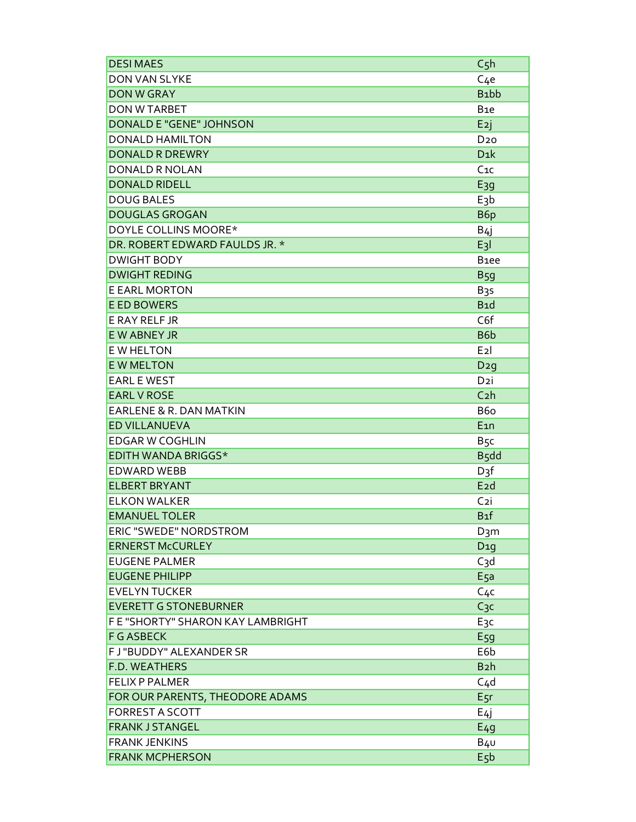| <b>DESIMAES</b>                   | C <sub>5</sub> h  |
|-----------------------------------|-------------------|
| DON VAN SLYKE                     | $C_4e$            |
| <b>DON W GRAY</b>                 | B <sub>1</sub> bb |
| <b>DON W TARBET</b>               | B <sub>1e</sub>   |
| DONALD E "GENE" JOHNSON           | E <sub>2</sub> j  |
| <b>DONALD HAMILTON</b>            | D <sub>20</sub>   |
| <b>DONALD R DREWRY</b>            | $D_{1}k$          |
| DONALD R NOLAN                    | $C_{1C}$          |
| <b>DONALD RIDELL</b>              | $E_{39}$          |
| <b>DOUG BALES</b>                 | E <sub>3</sub> b  |
| <b>DOUGLAS GROGAN</b>             | B6p               |
| DOYLE COLLINS MOORE*              | B4                |
| DR. ROBERT EDWARD FAULDS JR. *    | $E_3$             |
| <b>DWIGHT BODY</b>                | B <sub>1ee</sub>  |
| <b>DWIGHT REDING</b>              | B <sub>59</sub>   |
| <b>E EARL MORTON</b>              | B <sub>3</sub> s  |
| <b>E ED BOWERS</b>                | B <sub>1</sub> d  |
| E RAY RELF JR                     | C <sub>6f</sub>   |
| <b>EW ABNEY JR</b>                | B6b               |
| <b>E W HELTON</b>                 | E2                |
| <b>E W MELTON</b>                 | D2g               |
| <b>EARL E WEST</b>                | D <sub>2</sub> i  |
| <b>EARL V ROSE</b>                | C <sub>2</sub> h  |
| EARLENE & R. DAN MATKIN           | B <sub>6</sub>    |
| <b>ED VILLANUEVA</b>              | $E_{1n}$          |
| <b>EDGAR W COGHLIN</b>            | B <sub>5</sub> c  |
| EDITH WANDA BRIGGS*               | B <sub>5</sub> dd |
| <b>EDWARD WEBB</b>                | $D_3f$            |
| <b>ELBERT BRYANT</b>              | E <sub>2</sub> d  |
| <b>ELKON WALKER</b>               | C <sub>2</sub> i  |
| <b>EMANUEL TOLER</b>              | B <sub>1</sub> f  |
| ERIC "SWEDE" NORDSTROM            | D <sub>3</sub> m  |
| <b>ERNERST McCURLEY</b>           | D1q               |
| <b>EUGENE PALMER</b>              | C <sub>3</sub> d  |
| <b>EUGENE PHILIPP</b>             | E <sub>5</sub> a  |
| <b>EVELYN TUCKER</b>              | C <sub>4</sub> c  |
| <b>EVERETT G STONEBURNER</b>      | C <sub>3</sub> c  |
| F E "SHORTY" SHARON KAY LAMBRIGHT | E <sub>3</sub> c  |
| <b>F G ASBECK</b>                 | E59               |
| F J "BUDDY" ALEXANDER SR          | E6b               |
| <b>F.D. WEATHERS</b>              | B <sub>2</sub> h  |
| <b>FELIX P PALMER</b>             | C <sub>4</sub> d  |
| FOR OUR PARENTS, THEODORE ADAMS   | E <sub>5</sub> r  |
| <b>FORREST A SCOTT</b>            | E4j               |
| <b>FRANK J STANGEL</b>            | E <sub>49</sub>   |
| <b>FRANK JENKINS</b>              | $B_4$ U           |
| <b>FRANK MCPHERSON</b>            | E <sub>5</sub> b  |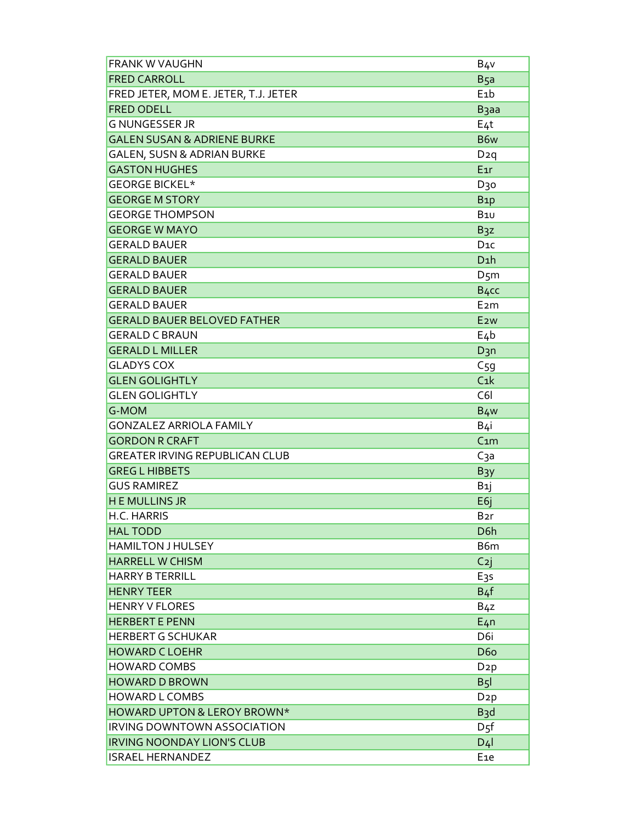| <b>FRANK W VAUGHN</b>                  | B <sub>4</sub> v  |
|----------------------------------------|-------------------|
| <b>FRED CARROLL</b>                    | B <sub>5a</sub>   |
| FRED JETER, MOM E. JETER, T.J. JETER   | $E_1$             |
| <b>FRED ODELL</b>                      | B <sub>3</sub> aa |
| <b>G NUNGESSER JR</b>                  | $E_4t$            |
| <b>GALEN SUSAN &amp; ADRIENE BURKE</b> | B6w               |
| <b>GALEN, SUSN &amp; ADRIAN BURKE</b>  | D2q               |
| <b>GASTON HUGHES</b>                   | E <sub>1</sub> r  |
| <b>GEORGE BICKEL*</b>                  | D30               |
| <b>GEORGE M STORY</b>                  | B <sub>1</sub> p  |
| <b>GEORGE THOMPSON</b>                 | <b>B10</b>        |
| <b>GEORGE W MAYO</b>                   | B <sub>3</sub> z  |
| <b>GERALD BAUER</b>                    | $D_{1C}$          |
| <b>GERALD BAUER</b>                    | D <sub>1</sub> h  |
| <b>GERALD BAUER</b>                    | D <sub>5</sub> m  |
| <b>GERALD BAUER</b>                    | B <sub>4</sub> cc |
| <b>GERALD BAUER</b>                    | E <sub>2</sub> m  |
| <b>GERALD BAUER BELOVED FATHER</b>     | E <sub>2W</sub>   |
| <b>GERALD C BRAUN</b>                  | E4b               |
| <b>GERALD L MILLER</b>                 | D3n               |
| <b>GLADYS COX</b>                      | C <sub>59</sub>   |
| <b>GLEN GOLIGHTLY</b>                  | C <sub>1</sub> k  |
| <b>GLEN GOLIGHTLY</b>                  | C6I               |
| <b>G-MOM</b>                           | B <sub>4</sub> w  |
| <b>GONZALEZ ARRIOLA FAMILY</b>         | B4i               |
| <b>GORDON R CRAFT</b>                  | C <sub>1</sub> m  |
| <b>GREATER IRVING REPUBLICAN CLUB</b>  | Сза               |
| <b>GREG L HIBBETS</b>                  | $B_3y$            |
| <b>GUS RAMIREZ</b>                     | B <sub>1</sub> j  |
| <b>HE MULLINS JR</b>                   | E6j               |
| H.C. HARRIS                            | B <sub>2</sub> r  |
| <b>HAL TODD</b>                        | D <sub>6</sub> h  |
| <b>HAMILTON J HULSEY</b>               | B6m               |
| <b>HARRELL W CHISM</b>                 | $C_{2}$           |
| <b>HARRY B TERRILL</b>                 | E <sub>35</sub>   |
| <b>HENRY TEER</b>                      | B <sub>4</sub> f  |
| <b>HENRY V FLORES</b>                  | B <sub>4</sub> z  |
| <b>HERBERT E PENN</b>                  | $E_4n$            |
| <b>HERBERT G SCHUKAR</b>               | D6i               |
| <b>HOWARD CLOEHR</b>                   | <b>D6o</b>        |
| <b>HOWARD COMBS</b>                    | D <sub>2</sub> p  |
| <b>HOWARD D BROWN</b>                  | B <sub>5</sub>    |
| HOWARD L COMBS                         | D <sub>2</sub> p  |
| HOWARD UPTON & LEROY BROWN*            | B <sub>3</sub> d  |
| <b>IRVING DOWNTOWN ASSOCIATION</b>     | $D_{5}f$          |
| <b>IRVING NOONDAY LION'S CLUB</b>      | D <sub>4</sub>    |
| <b>ISRAEL HERNANDEZ</b>                | E <sub>1e</sub>   |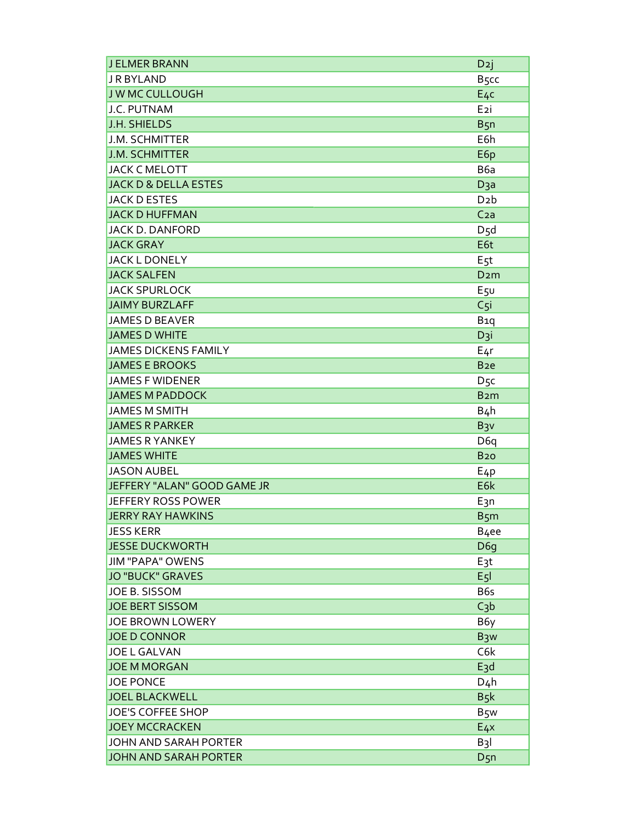| <b>JELMER BRANN</b>             | D <sub>2</sub> j  |
|---------------------------------|-------------------|
| <b>JRBYLAND</b>                 | B <sub>5</sub> cc |
| <b>JWMCCULLOUGH</b>             | $E_4c$            |
| J.C. PUTNAM                     | E <sub>2</sub> i  |
| J.H. SHIELDS                    | B <sub>5</sub> n  |
| J.M. SCHMITTER                  | E6h               |
| <b>J.M. SCHMITTER</b>           | E6p               |
| <b>JACK C MELOTT</b>            | B <sub>6</sub> a  |
| <b>JACK D &amp; DELLA ESTES</b> | D <sub>3a</sub>   |
| <b>JACK D ESTES</b>             | D <sub>2</sub> b  |
| <b>JACK D HUFFMAN</b>           | C <sub>2a</sub>   |
| <b>JACK D. DANFORD</b>          | D <sub>5</sub> d  |
| <b>JACK GRAY</b>                | E6t               |
| <b>JACK L DONELY</b>            | E <sub>5</sub> t  |
| <b>JACK SALFEN</b>              | D <sub>2</sub> m  |
| <b>JACK SPURLOCK</b>            | E5U               |
| <b>JAIMY BURZLAFF</b>           | $C5$ i            |
| <b>JAMES D BEAVER</b>           | B <sub>1</sub> q  |
| <b>JAMES D WHITE</b>            | D <sub>3</sub> i  |
| <b>JAMES DICKENS FAMILY</b>     | $E_4r$            |
| <b>JAMES E BROOKS</b>           | B <sub>2e</sub>   |
| <b>JAMES F WIDENER</b>          | D <sub>5</sub> c  |
| <b>JAMES M PADDOCK</b>          | B <sub>2</sub> m  |
| <b>JAMES M SMITH</b>            | B <sub>4</sub> h  |
| <b>JAMES R PARKER</b>           | B <sub>3</sub> v  |
| <b>JAMES R YANKEY</b>           | D <sub>6q</sub>   |
| <b>JAMES WHITE</b>              | <b>B20</b>        |
| <b>JASON AUBEL</b>              | E <sub>4</sub> p  |
| JEFFERY "ALAN" GOOD GAME JR     | E6k               |
| <b>JEFFERY ROSS POWER</b>       | E <sub>3</sub> n  |
| <b>JERRY RAY HAWKINS</b>        | B <sub>5</sub> m  |
| <b>JESS KERR</b>                | B <sub>4</sub> ee |
| <b>JESSE DUCKWORTH</b>          | D <sub>6</sub> g  |
| <b>JIM "PAPA" OWENS</b>         | E <sub>3</sub> t  |
| <b>JO "BUCK" GRAVES</b>         | E <sub>5</sub>    |
| JOE B. SISSOM                   | B6s               |
| <b>JOE BERT SISSOM</b>          | C <sub>3</sub> b  |
| <b>JOE BROWN LOWERY</b>         | B6y               |
| <b>JOE D CONNOR</b>             | B <sub>3</sub> w  |
| <b>JOE L GALVAN</b>             | C6k               |
| <b>JOE M MORGAN</b>             | E <sub>3</sub> d  |
| <b>JOE PONCE</b>                | $D_4h$            |
| <b>JOEL BLACKWELL</b>           | B <sub>5</sub> k  |
| JOE'S COFFEE SHOP               | B <sub>5</sub> w  |
| <b>JOEY MCCRACKEN</b>           | E <sub>4</sub>    |
| <b>JOHN AND SARAH PORTER</b>    | $B_3$             |
| <b>JOHN AND SARAH PORTER</b>    | $D_{5n}$          |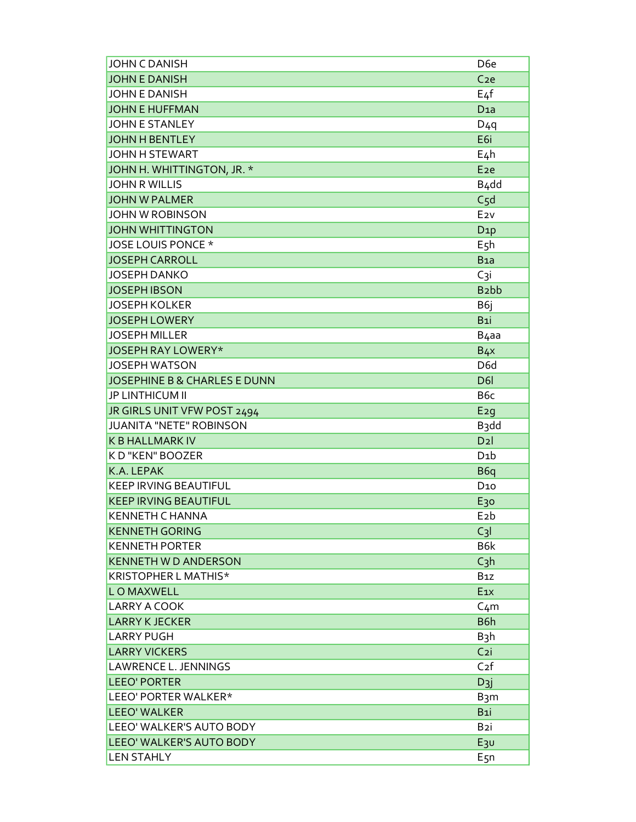| <b>JOHN C DANISH</b>                    | D <sub>6e</sub>   |
|-----------------------------------------|-------------------|
| <b>JOHN E DANISH</b>                    | C <sub>2e</sub>   |
| <b>JOHN E DANISH</b>                    | $E_4f$            |
| <b>JOHN E HUFFMAN</b>                   | D <sub>1a</sub>   |
| <b>JOHN E STANLEY</b>                   | $D_4q$            |
| <b>JOHN H BENTLEY</b>                   | E6i               |
| JOHN H STEWART                          | $E_4h$            |
| JOHN H. WHITTINGTON, JR. *              | E <sub>2e</sub>   |
| <b>JOHN R WILLIS</b>                    | B <sub>4</sub> dd |
| <b>JOHN W PALMER</b>                    | C <sub>5</sub> d  |
| <b>JOHN W ROBINSON</b>                  | E <sub>2V</sub>   |
| <b>JOHN WHITTINGTON</b>                 | D <sub>1</sub> p  |
| JOSE LOUIS PONCE *                      | E <sub>5</sub> h  |
| <b>JOSEPH CARROLL</b>                   | B <sub>1a</sub>   |
| <b>JOSEPH DANKO</b>                     | C3i               |
| <b>JOSEPH IBSON</b>                     | B <sub>2</sub> bb |
| <b>JOSEPH KOLKER</b>                    | B6j               |
| <b>JOSEPH LOWERY</b>                    | B1i               |
| <b>JOSEPH MILLER</b>                    | B <sub>4</sub> aa |
| <b>JOSEPH RAY LOWERY*</b>               | $B_{4}x$          |
| <b>JOSEPH WATSON</b>                    | D6d               |
| <b>JOSEPHINE B &amp; CHARLES E DUNN</b> | D <sub>6</sub>    |
| <b>JP LINTHICUM II</b>                  | B <sub>6</sub> c  |
| JR GIRLS UNIT VFW POST 2494             | E2q               |
| <b>JUANITA "NETE" ROBINSON</b>          | B <sub>3</sub> dd |
| <b>K B HALLMARK IV</b>                  | D2                |
| K D "KEN" BOOZER                        | D <sub>1</sub> b  |
| K.A. LEPAK                              | B <sub>6q</sub>   |
| <b>KEEP IRVING BEAUTIFUL</b>            | D <sub>10</sub>   |
| <b>KEEP IRVING BEAUTIFUL</b>            | E <sub>30</sub>   |
| KENNETH C HANNA                         | $E_2b$            |
| <b>KENNETH GORING</b>                   | $C_3I$            |
| <b>KENNETH PORTER</b>                   | B6k               |
| <b>KENNETH W D ANDERSON</b>             | $C_3h$            |
| KRISTOPHER L MATHIS*                    | B <sub>1</sub> z  |
| <b>LOMAXWELL</b>                        | E <sub>1X</sub>   |
| <b>LARRY A COOK</b>                     | $C_4m$            |
| <b>LARRY K JECKER</b>                   | B6h               |
| <b>LARRY PUGH</b>                       | $B_3h$            |
| <b>LARRY VICKERS</b>                    | C <sub>2i</sub>   |
| <b>LAWRENCE L. JENNINGS</b>             | C <sub>2</sub> f  |
| <b>LEEO' PORTER</b>                     | $D3$ j            |
| LEEO' PORTER WALKER*                    | B <sub>3</sub> m  |
| <b>LEEO' WALKER</b>                     | B <sub>1</sub>    |
| LEEO' WALKER'S AUTO BODY                | B <sub>2</sub> i  |
| LEEO' WALKER'S AUTO BODY                | $E_3v$            |
| <b>LEN STAHLY</b>                       | $E_{5n}$          |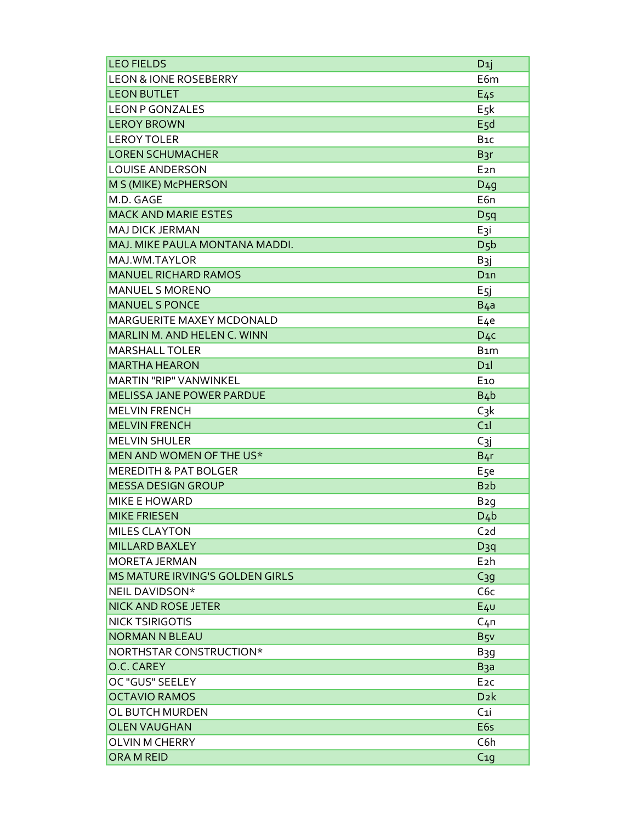| <b>LEO FIELDS</b>                | D <sub>1</sub> j |
|----------------------------------|------------------|
| <b>LEON &amp; IONE ROSEBERRY</b> | E6m              |
| <b>LEON BUTLET</b>               | E <sub>45</sub>  |
| <b>LEON P GONZALES</b>           | E <sub>5</sub> k |
| <b>LEROY BROWN</b>               | E5d              |
| LEROY TOLER                      | B <sub>1C</sub>  |
| <b>LOREN SCHUMACHER</b>          | B <sub>3r</sub>  |
| <b>LOUISE ANDERSON</b>           | E <sub>2</sub> n |
| M S (MIKE) McPHERSON             | D <sub>49</sub>  |
| M.D. GAGE                        | E6n              |
| <b>MACK AND MARIE ESTES</b>      | $D_5q$           |
| MAJ DICK JERMAN                  | E <sub>3</sub> i |
| MAJ. MIKE PAULA MONTANA MADDI.   | D <sub>5</sub> b |
| MAJ.WM.TAYLOR                    | B <sub>3</sub> j |
| <b>MANUEL RICHARD RAMOS</b>      | D <sub>1</sub> n |
| <b>MANUEL S MORENO</b>           | E <sub>5İ</sub>  |
| <b>MANUEL S PONCE</b>            | B <sub>4a</sub>  |
| <b>MARGUERITE MAXEY MCDONALD</b> | E <sub>4e</sub>  |
| MARLIN M. AND HELEN C. WINN      | $D_{4}c$         |
| <b>MARSHALL TOLER</b>            | B <sub>1</sub> m |
| <b>MARTHA HEARON</b>             | D1               |
| MARTIN "RIP" VANWINKEL           | E <sub>10</sub>  |
| <b>MELISSA JANE POWER PARDUE</b> | $B_4b$           |
| <b>MELVIN FRENCH</b>             | $C_3k$           |
| <b>MELVIN FRENCH</b>             | C <sub>1</sub>   |
| <b>MELVIN SHULER</b>             | $C_{3j}$         |
| MEN AND WOMEN OF THE US*         | B <sub>4</sub> r |
| <b>MEREDITH &amp; PAT BOLGER</b> | E <sub>5e</sub>  |
| <b>MESSA DESIGN GROUP</b>        | B <sub>2</sub> b |
| <b>MIKE E HOWARD</b>             | B <sub>2</sub> g |
| <b>MIKE FRIESEN</b>              | $D_4b$           |
| <b>MILES CLAYTON</b>             | C <sub>2d</sub>  |
| <b>MILLARD BAXLEY</b>            | $D_3q$           |
| <b>MORETA JERMAN</b>             | E <sub>2</sub> h |
| MS MATURE IRVING'S GOLDEN GIRLS  | C <sub>39</sub>  |
| NEIL DAVIDSON*                   | C6c              |
| <b>NICK AND ROSE JETER</b>       | $E_4$            |
| <b>NICK TSIRIGOTIS</b>           | C <sub>4</sub> n |
| <b>NORMAN N BLEAU</b>            | B <sub>5</sub>   |
| NORTHSTAR CONSTRUCTION*          | B <sub>3</sub> g |
| O.C. CAREY                       | B <sub>3</sub> a |
| OC "GUS" SEELEY                  | E <sub>2C</sub>  |
| <b>OCTAVIO RAMOS</b>             | D <sub>2</sub> k |
| OL BUTCH MURDEN                  | C <sub>1</sub>   |
| <b>OLEN VAUGHAN</b>              | E <sub>6s</sub>  |
| <b>OLVIN M CHERRY</b>            | C6h              |
| ORA M REID                       | C <sub>10</sub>  |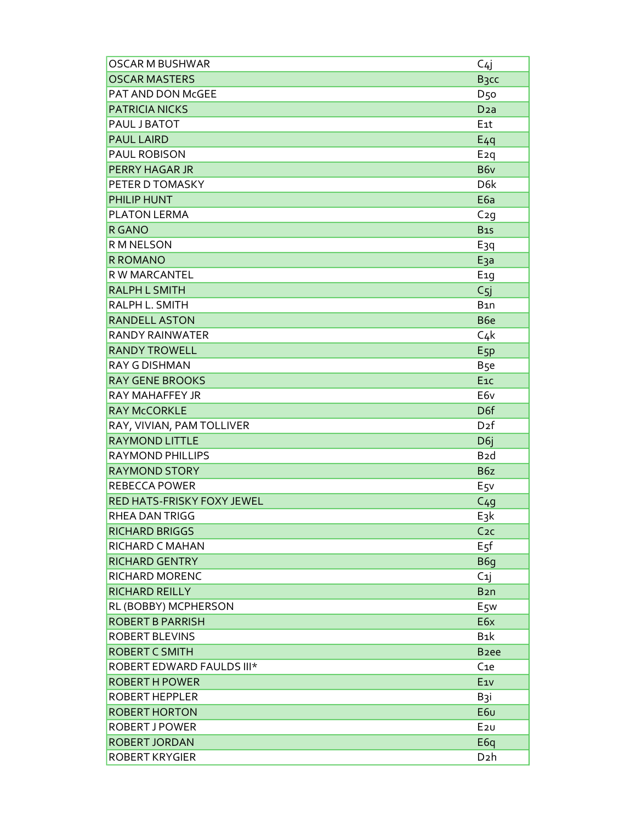| <b>OSCAR M BUSHWAR</b>     | C4j               |
|----------------------------|-------------------|
| <b>OSCAR MASTERS</b>       | B <sub>3</sub> cc |
| PAT AND DON McGEE          | <b>D50</b>        |
| <b>PATRICIA NICKS</b>      | D <sub>2</sub> a  |
| PAUL J BATOT               | E <sub>1</sub> t  |
| <b>PAUL LAIRD</b>          | $E_4q$            |
| PAUL ROBISON               | E <sub>2</sub> q  |
| <b>PERRY HAGAR JR</b>      | B6v               |
| PETER D TOMASKY            | D <sub>6</sub> k  |
| PHILIP HUNT                | E <sub>6a</sub>   |
| PLATON LERMA               | $C_2q$            |
| <b>R GANO</b>              | <b>B15</b>        |
| R M NELSON                 | E <sub>3</sub> q  |
| <b>R ROMANO</b>            | E <sub>3</sub> a  |
| R W MARCANTEL              | E <sub>1</sub> g  |
| <b>RALPH L SMITH</b>       | C <sub>5</sub>    |
| RALPH L. SMITH             | B <sub>1</sub> n  |
| <b>RANDELL ASTON</b>       | B <sub>6e</sub>   |
| <b>RANDY RAINWATER</b>     | $C_4k$            |
| <b>RANDY TROWELL</b>       | E <sub>5P</sub>   |
| <b>RAY G DISHMAN</b>       | B <sub>5e</sub>   |
| <b>RAY GENE BROOKS</b>     | E <sub>1C</sub>   |
| RAY MAHAFFEY JR            | E6v               |
| <b>RAY McCORKLE</b>        | D <sub>6f</sub>   |
| RAY, VIVIAN, PAM TOLLIVER  | D <sub>2</sub> f  |
| <b>RAYMOND LITTLE</b>      | D <sub>6j</sub>   |
| <b>RAYMOND PHILLIPS</b>    | B <sub>2</sub> d  |
| <b>RAYMOND STORY</b>       | B6z               |
| <b>REBECCA POWER</b>       | $E_{5}v$          |
| RED HATS-FRISKY FOXY JEWEL | C <sub>4</sub> g  |
| RHEA DAN TRIGG             | $E_3k$            |
| <b>RICHARD BRIGGS</b>      | C <sub>2C</sub>   |
| RICHARD C MAHAN            | E <sub>5f</sub>   |
| <b>RICHARD GENTRY</b>      | B6g               |
| RICHARD MORENC             | C <sub>1</sub>    |
| <b>RICHARD REILLY</b>      | B <sub>2</sub> n  |
| RL (BOBBY) MCPHERSON       | E <sub>5</sub> w  |
| <b>ROBERT B PARRISH</b>    | E6x               |
| ROBERT BLEVINS             | B <sub>1</sub> k  |
| <b>ROBERT C SMITH</b>      | B <sub>2ee</sub>  |
| ROBERT EDWARD FAULDS III*  | C <sub>1e</sub>   |
| <b>ROBERT H POWER</b>      | E <sub>1V</sub>   |
| <b>ROBERT HEPPLER</b>      | B <sub>3</sub> i  |
| <b>ROBERT HORTON</b>       | E6u               |
| <b>ROBERT J POWER</b>      | E2U               |
| <b>ROBERT JORDAN</b>       | E <sub>6q</sub>   |
| <b>ROBERT KRYGIER</b>      | D <sub>2</sub> h  |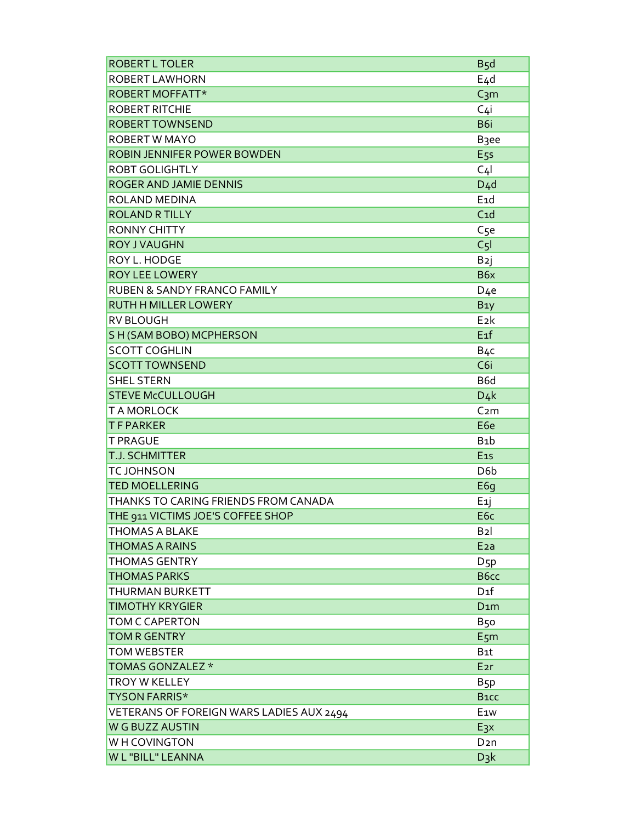| <b>ROBERT L TOLER</b>                    | B <sub>5</sub> d  |
|------------------------------------------|-------------------|
| ROBERT LAWHORN                           | $E_4d$            |
| ROBERT MOFFATT*                          | C <sub>3</sub> m  |
| <b>ROBERT RITCHIE</b>                    | C <sub>4</sub> i  |
| <b>ROBERT TOWNSEND</b>                   | B <sub>6i</sub>   |
| <b>ROBERT W MAYO</b>                     | B <sub>3</sub> ee |
| ROBIN JENNIFER POWER BOWDEN              | E <sub>5s</sub>   |
| <b>ROBT GOLIGHTLY</b>                    | C <sub>4</sub>    |
| ROGER AND JAMIE DENNIS                   | D <sub>4</sub> d  |
| ROLAND MEDINA                            | E <sub>1</sub> d  |
| <b>ROLAND R TILLY</b>                    | C <sub>1d</sub>   |
| <b>RONNY CHITTY</b>                      | C <sub>5e</sub>   |
| <b>ROY J VAUGHN</b>                      | C <sub>5</sub>    |
| ROY L. HODGE                             | B <sub>2</sub> j  |
| <b>ROY LEE LOWERY</b>                    | B6x               |
| RUBEN & SANDY FRANCO FAMILY              | D <sub>4</sub> e  |
| RUTH H MILLER LOWERY                     | B <sub>1</sub> y  |
| <b>RV BLOUGH</b>                         | E <sub>2</sub> k  |
| S H (SAM BOBO) MCPHERSON                 | $E_1f$            |
| <b>SCOTT COGHLIN</b>                     | B <sub>4</sub> c  |
| <b>SCOTT TOWNSEND</b>                    | C <sub>6i</sub>   |
| <b>SHEL STERN</b>                        | B <sub>6</sub> d  |
| <b>STEVE McCULLOUGH</b>                  | $D_4k$            |
| <b>TAMORLOCK</b>                         | C <sub>2</sub> m  |
| <b>TFPARKER</b>                          | E <sub>6e</sub>   |
| <b>T PRAGUE</b>                          | B <sub>1</sub> b  |
| <b>T.J. SCHMITTER</b>                    | $E_{15}$          |
| <b>TCJOHNSON</b>                         | D <sub>6</sub> b  |
| <b>TED MOELLERING</b>                    | E6g               |
| THANKS TO CARING FRIENDS FROM CANADA     | E <sub>1</sub> j  |
| THE 911 VICTIMS JOE'S COFFEE SHOP        | E <sub>6c</sub>   |
| <b>THOMAS A BLAKE</b>                    | B <sub>2</sub>    |
| <b>THOMAS A RAINS</b>                    | E <sub>2</sub> a  |
| THOMAS GENTRY                            | $D_{5}p$          |
| <b>THOMAS PARKS</b>                      | B6cc              |
| THURMAN BURKETT                          | D <sub>1</sub> f  |
| <b>TIMOTHY KRYGIER</b>                   | D <sub>1</sub> m  |
| TOM C CAPERTON                           | B50               |
| <b>TOM R GENTRY</b>                      | E5m               |
| <b>TOM WEBSTER</b>                       | B <sub>1</sub> t  |
| TOMAS GONZALEZ *                         | E <sub>2r</sub>   |
| <b>TROY W KELLEY</b>                     | B <sub>5</sub> p  |
| <b>TYSON FARRIS*</b>                     | B <sub>1</sub> CC |
| VETERANS OF FOREIGN WARS LADIES AUX 2494 | E <sub>1W</sub>   |
| W G BUZZ AUSTIN                          | E <sub>3</sub> x  |
| WH COVINGTON                             | D <sub>2</sub> n  |
| W L "BILL" LEANNA                        | $D_3k$            |